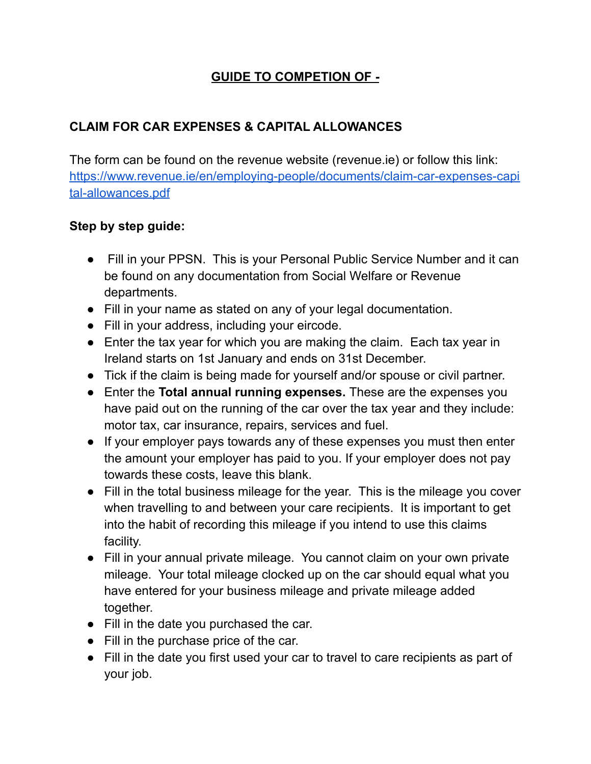## **GUIDE TO COMPETION OF -**

## **CLAIM FOR CAR EXPENSES & CAPITAL ALLOWANCES**

The form can be found on the revenue website (revenue.ie) or follow this link: [https://www.revenue.ie/en/employing-people/documents/claim-car-expenses-capi](https://www.revenue.ie/en/employing-people/documents/claim-car-expenses-capital-allowances.pdf) [tal-allowances.pdf](https://www.revenue.ie/en/employing-people/documents/claim-car-expenses-capital-allowances.pdf)

## **Step by step guide:**

- Fill in your PPSN. This is your Personal Public Service Number and it can be found on any documentation from Social Welfare or Revenue departments.
- Fill in your name as stated on any of your legal documentation.
- Fill in your address, including your eircode.
- Enter the tax year for which you are making the claim. Each tax year in Ireland starts on 1st January and ends on 31st December.
- Tick if the claim is being made for yourself and/or spouse or civil partner.
- Enter the **Total annual running expenses.** These are the expenses you have paid out on the running of the car over the tax year and they include: motor tax, car insurance, repairs, services and fuel.
- If your employer pays towards any of these expenses you must then enter the amount your employer has paid to you. If your employer does not pay towards these costs, leave this blank.
- Fill in the total business mileage for the year. This is the mileage you cover when travelling to and between your care recipients. It is important to get into the habit of recording this mileage if you intend to use this claims facility.
- Fill in your annual private mileage. You cannot claim on your own private mileage. Your total mileage clocked up on the car should equal what you have entered for your business mileage and private mileage added together.
- Fill in the date you purchased the car.
- Fill in the purchase price of the car.
- Fill in the date you first used your car to travel to care recipients as part of your job.